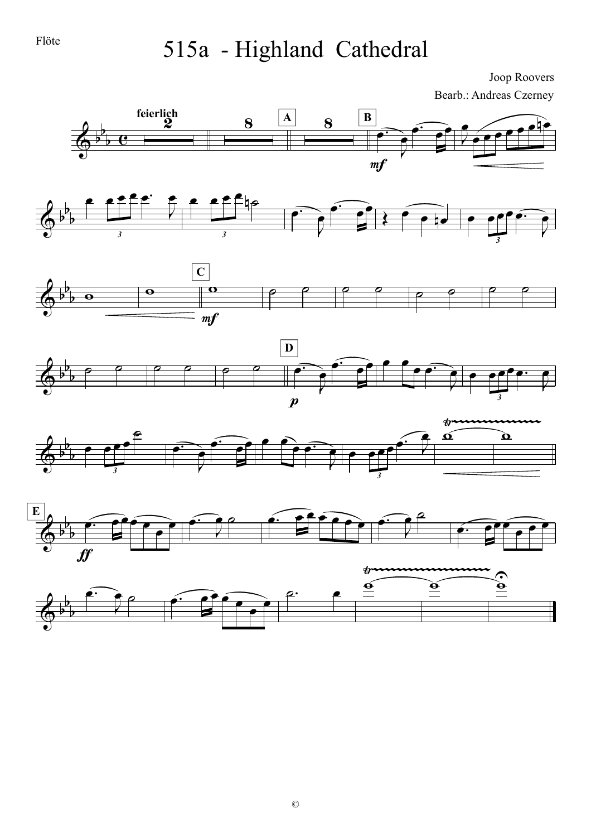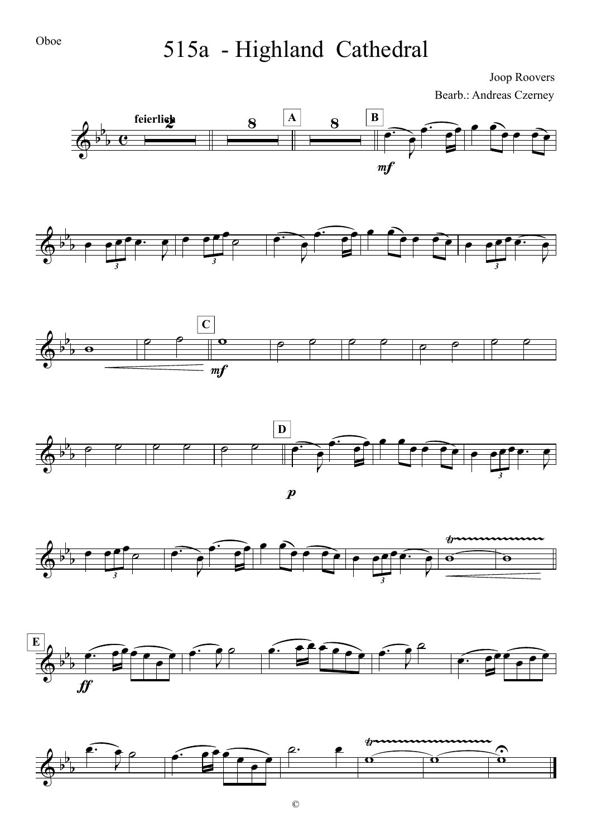

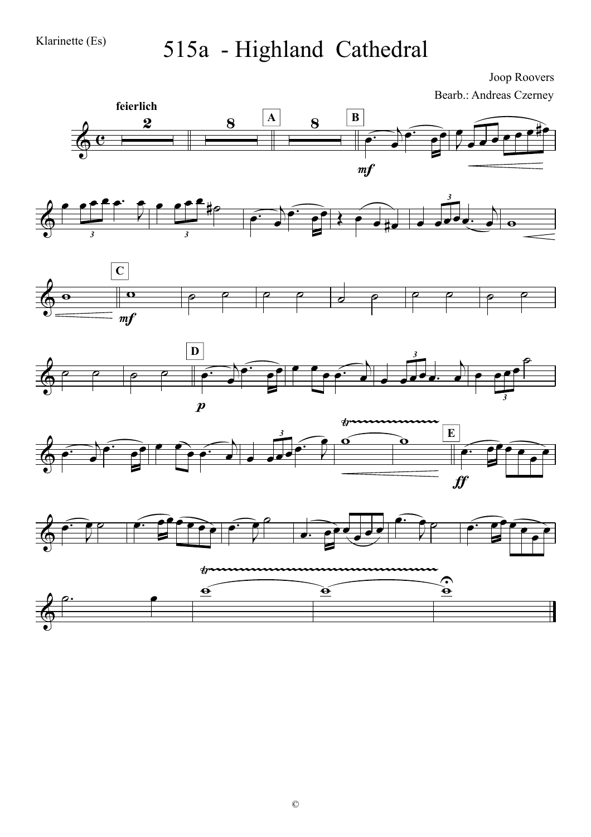





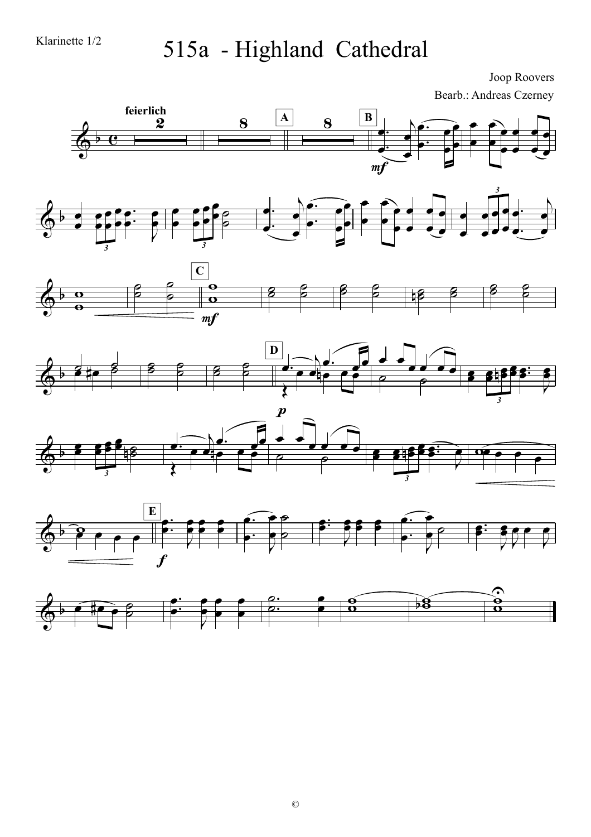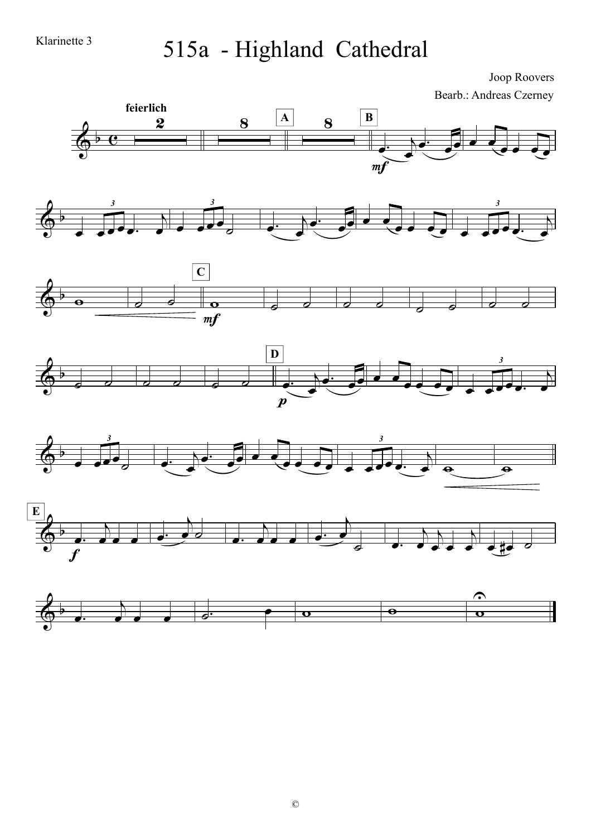Klarinette 3

#### 515a - Highland Cathedral